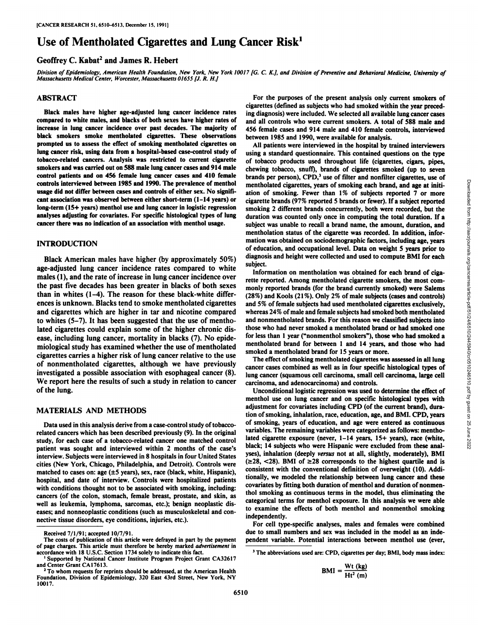# Use of Mentholated Cigarettes and Lung Cancer  $Risk<sup>1</sup>$

# Geoffrey C. Kabat<sup>2</sup> and James R. Hebert

Division of Epidemiology, American Health Foundation, New York, New York 10017 [G. C. K.], and Division of Preventive and Behavioral Medicine, University of *Massachusetts Medical Center, Worcester, Massachusetts 01655 [J. R. H.J*

#### ABSTRACT

Black males have higher age-adjusted lung cancer incidence rates compared to white males, and blacks of both sexes have higher rates of increase in lung cancer incidence over past decades. The majority of black smokers smoke mentholated cigarettes. These observations prompted us to assess the effect of smoking mentholated cigarettes on lung cancer risk, using data from a hospital-based case-control study of tobacco-related cancers. Analysis was restricted to current cigarette smokers and was carried out on 588 male lung cancer cases and 914 male control patients and on 456 female lung cancer cases and 410 female controls interviewed between 1985 and 1990. The prevalence of menthol usage did not differ between cases and controls of either sex. No signifi cant association was observed between either short-term (1-14 years) or long-term (15+ years) menthol use and lung cancer in logistic regression analyses adjusting for covariates. For specific histological types of lung cancer there was no indication of an association with menthol usage.

#### INTRODUCTION

Black American males have higher (by approximately 50%) age-adjusted lung cancer incidence rates compared to white males (1), and the rate of increase in lung cancer incidence over the past five decades has been greater in blacks of both sexes than in whites (1-4). The reason for these black-white differ ences is unknown. Blacks tend to smoke mentholated cigarettes and cigarettes which are higher in tar and nicotine compared to whites (5-7). It has been suggested that the use of mentho lated cigarettes could explain some of the higher chronic dis ease, including lung cancer, mortality in blacks (7). No epide miological study has examined whether the use of mentholated cigarettes carries a higher risk of lung cancer relative to the use of nonmentholated cigarettes, although we have previously investigated a possible association with esophageal cancer (8). We report here the results of such a study in relation to cancer of the lung.

### MATERIALS AND METHODS

Data used in this analysis derive from a case-control study of tobaccorelated cancers which has been described previously (9). In the original study, for each case of a tobacco-related cancer one matched control patient was sought and interviewed within 2 months of the case's interview. Subjects were interviewed in 8 hospitals in four United States cities (New York, Chicago, Philadelphia, and Detroit). Controls were matched to cases on: age  $(\pm 5 \text{ years})$ , sex, race (black, white, Hispanic), hospital, and date of interview. Controls were hospitalized patients with conditions thought not to be associated with smoking, including: cancers (of the colon, stomach, female breast, prostate, and skin, as well as leukemia, lymphoma, sarcomas, etc.); benign neoplastic dis eases; and nonneoplastic conditions (such as musculoskeletal and con nective tissue disorders, eye conditions, injuries, etc.).

For the purposes of the present analysis only current smokers of cigarettes (defined as subjects who had smoked within the year preced ing diagnosis) were included. We selected all available lung cancer cases and all controls who were current smokers. A total of 588 male and 456 female cases and 914 male and 410 female controls, interviewed between 1985 and 1990, were available for analysis.

All patients were interviewed in the hospital by trained interviewers using a standard questionnaire. This contained questions on the type of tobacco products used throughout life (cigarettes, cigars, pipes, chewing tobacco, snuff), brands of cigarettes smoked (up to seven brands per person), CPD,<sup>3</sup> use of filter and nonfilter cigarettes, use of mentholated cigarettes, years of smoking each brand, and age at initi mentholated cigarettes, years of smoking each brand, and age at inti-<br>ation of smoking. Fewer than 1% of subjects reported 7 or more<br>cigarette brands (97% reported 5 brands of rewer). If a subject reported<br>cigarette brand cigarette brands (97% reported 5 brands or fewer). If a subject reported smoking 2 different brands concurrently, both were recorded, but the duration was counted only once in computing the total duration. If a subject was unable to recall a brand name, the amount, duration, and mentholation status of the cigarette was recorded. In addition, infor mation was obtained on sociodemographic factors, including age, years of education, and occupational level. Data on weight 5 years prior to diagnosis and height were collected and used to compute BMI for each subject.

Information on mentholation was obtained for each brand of ciga rette reported. Among mentholated cigarette smokers, the most com monly reported brands (for the brand currently smoked) were Salems (28%) and Kools (21%). Only 2% of male subjects (cases and controls) and 5% of female subjects had used mentholated cigarettes exclusively, whereas 24% of male and female subjects had smoked both mentholated and nonmentholated brands. For this reason we classified subjects into those who had never smoked a mentholated brand or had smoked one for less than 1 year ("nonmenthol smokers"), those who had smoked a mentholated brand for between 1 and 14 years, and those who had smoked a mentholated brand for 15 years or more.

The effect of smoking mentholated cigarettes was assessed in all lung cancer cases combined as well as in four specific histological types of lung cancer (squamous cell carcinoma, small cell carcinoma, large cell carcinoma, and adenocarcinoma) and controls.

Unconditional logistic regression was used to determine the effect of menthol use on lung cancer and on specific histological types with adjustment for covariates including CPD (of the current brand), dura tion of smoking, inhalation, race, education, age, and BMI. CPD, years of smoking, years of education, and age were entered as continuous variables. The remaining variables were categorized as follows: mentho lated cigarette exposure (never,  $1-14$  years,  $15+$  years), race (white, black; 14 subjects who were Hispanic were excluded from these analyses), inhalation (deeply versus not at all, slightly, moderately), BMI  $(\geq 28, \leq 28)$ . BMI of  $\geq 28$  corresponds to the highest quartile and is consistent with the conventional definition of overweight (10). Addi tionally, we modeled the relationship between lung cancer and these covariates by fitting both duration of menthol and duration of nonmen thol smoking as continuous terms in the model, thus eliminating the categorical terms for menthol exposure. In this analysis we were able to examine the effects of both menthol and nonmenthol smoking independently.

For cell type-specific analyses, males and females were combined due to small numbers and sex was included in the model as an inde pendent variable. Potential interactions between menthol use (ever,

$$
BMI = \frac{Wt (kg)}{Ht^2 (m)}
$$

Received 7/1/91; accepted 10/7/91.

The costs of publication of this article were defrayed in part by the payment of page charges. This article must therefore be hereby marked advertisement in accordance with 18 U.S.C. Section 1734 solely to indicate this fact.

Supported by National Cancer Institute Program Project Grant CA32617 and Center Grant CAI7613.

*<sup>2</sup>To whom requests for reprints should be addressed, at the American Health* Foundation. Division of Epidemiology, 320 East 43rd Street, New York, NY 10017.

<sup>&</sup>lt;sup>3</sup> The abbreviations used are: CPD, cigarettes per day; BMI, body mass index: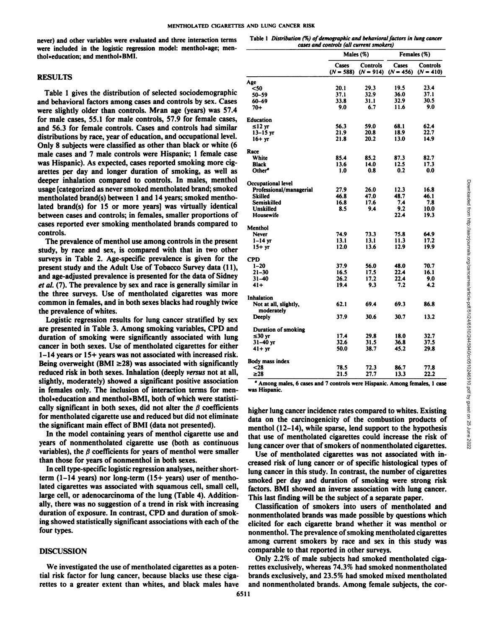never) and other variables were evaluated and three interaction terms were included in the logistic regression model: menthol\*age; menthol\*education; and menthol\*BMI.

#### **RESULTS**

Table 1 gives the distribution of selected sociodemographic and behavioral factors among cases and controls by sex. Cases were slightly older than controls. Mean age (years) was 57.4 for male cases, 55.1 for male controls, 57.9 for female cases, and 56.3 for female controls. Cases and controls had similar distributions by race, year of education, and occupational level. Only 8 subjects were classified as other than black or white (6 male cases and 7 male controls were Hispanic; 1 female case was Hispanic). As expected, cases reported smoking more cig arettes per day and longer duration of smoking, as well as deeper inhalation compared to controls. In males, menthol usage [categorized as never smoked mentholated brand; smoked mentholated brand(s) between 1 and 14 years; smoked mentho lated brand(s) for 15 or more years] was virtually identical between cases and controls; in females, smaller proportions of cases reported ever smoking mentholated brands compared to controls.

The prevalence of menthol use among controls in the present study, by race and sex, is compared with that in two other surveys in Table 2. Age-specific prevalence is given for the present study and the Adult Use of Tobacco Survey data (11), and age-adjusted prevalence is presented for the data of Sidney *et al. (7). The prevalence by sex and race is generally similar in* the three surveys. Use of mentholated cigarettes was more common in females, and in both sexes blacks had roughly twice the prevalence of whites.

Logistic regression results for lung cancer stratified by sex are presented in Table 3. Among smoking variables, CPD and duration of smoking were significantly associated with lung cancer in both sexes. Use of mentholated cigarettes for either 1-14 years or 15+ years was not associated with increased risk. Being overweight (BMI  $\geq$ 28) was associated with significantly reduced risk in both sexes. Inhalation (deeply versus not at all, slightly, moderately) showed a significant positive association in females only. The inclusion of interaction terms for menthol\*education and menthol\*BMI, both of which were statistically significant in both sexes, did not alter the  $\beta$  coefficients for mentholated cigarette use and reduced but did not eliminate the significant main effect of BMI (data not presented).

In the model containing years of menthol cigarette use and years of nonmentholated cigarette use (both as continuous variables), the  $\beta$  coefficients for years of menthol were smaller than those for years of nonmenthol in both sexes.

In cell type-specific logistic regression analyses, neither shortterm (1-14 years) nor long-term (15+ years) user of mentho lated cigarettes was associated with squamous cell, small cell, large cell, or adenocarcinoma of the lung (Table 4). Addition ally, there was no suggestion of a trend in risk with increasing duration of exposure. In contrast, CPD and duration of smok ing showed statistically significant associations with each of the four types.

## **DISCUSSION**

We investigated the use of mentholated cigarettes as a poten tial risk factor for lung cancer, because blacks use these ciga rettes to a greater extent than whites, and black males have

|                                                                                                 | Males (%)                                                                        |                               | Females (%)                                         |                     |
|-------------------------------------------------------------------------------------------------|----------------------------------------------------------------------------------|-------------------------------|-----------------------------------------------------|---------------------|
|                                                                                                 | Cases Controls Cases Controls<br>$(N = 588)$ $(N = 914)$ $(N = 456)$ $(N = 410)$ |                               |                                                     |                     |
|                                                                                                 |                                                                                  |                               |                                                     |                     |
| Age<br><50<br>50–59<br>60–69<br>70+                                                             | $\frac{20.1}{37.1}$                                                              | $\frac{29.3}{32.9}$           | 19.5<br>36.0                                        | 23.4<br>37.1        |
|                                                                                                 | 33.8                                                                             | $\frac{31.1}{6.7}$            | 32.9<br>11.6                                        | 30.5<br>9.0         |
|                                                                                                 | 9.0                                                                              |                               |                                                     |                     |
| Education<br>$\leq 12$ yr<br>13-15 yr                                                           |                                                                                  | 59.0                          | 68.1                                                | 62.4                |
| $16+yr$                                                                                         | $\frac{56.3}{21.9}$<br>21.8                                                      | $\frac{20.8}{20.2}$           | $\frac{18.9}{13.0}$                                 | 22.7<br>14.9        |
|                                                                                                 |                                                                                  |                               |                                                     |                     |
| Race<br>White                                                                                   | 85.4                                                                             | 85.2                          | 87.3                                                | 82.7                |
| Black<br>Other <sup>a</sup>                                                                     | 13.6<br>1.0                                                                      | $\frac{14.0}{0.8}$            | $\frac{12.5}{0.2}$                                  | $\frac{17.3}{0.0}$  |
| Occupational level<br>Professional/managerial                                                   |                                                                                  |                               |                                                     |                     |
| <b>Skilled</b>                                                                                  | 27.9<br>46.8                                                                     | $26.0$                        | 12.3                                                | 16.8<br>46.1        |
| Semiskilled<br>Unskilled                                                                        | $\frac{16.8}{8.5}$                                                               | $\frac{47.0}{17.6}$           | $48.7$<br>7.4<br>9.2<br>22.4                        | 7.8<br>10.0         |
| Housewife                                                                                       |                                                                                  |                               |                                                     | 19.3                |
| Menthol                                                                                         |                                                                                  |                               |                                                     |                     |
| Never<br>$1-14$ yr                                                                              | 74.9<br>13.1                                                                     | $73.3$<br>13.1<br>13.6        | $75.8$<br>11.3<br>12.9                              | 64.9<br>17.2        |
| $15+yr$                                                                                         | 12.0                                                                             |                               |                                                     | 19.9                |
| $\bf CPD$                                                                                       | 37.9                                                                             |                               | 48.0                                                | 70.7                |
| $1-20$<br>21-30<br>31-40                                                                        |                                                                                  | $56.0$<br>17.5<br>17.2<br>9.3 |                                                     | 16.1                |
| $41+$                                                                                           | $\frac{16.5}{26.2}$<br>19.4                                                      |                               | $22.4$<br>$22.4$<br>$7.2$                           | 9.0<br>4.2          |
| Inhalation                                                                                      |                                                                                  |                               |                                                     |                     |
| Not at all, slightly,<br>moderately                                                             | 62.1                                                                             | 69.4                          | 69.3                                                | 86.8                |
| Deeply                                                                                          | 37.9                                                                             | 30.6                          | 30.7                                                | 13.2                |
| Duration of smoking                                                                             |                                                                                  |                               |                                                     |                     |
| $\leq 30$ yr<br>$31 - 40$ yr                                                                    | 17.4<br>$\frac{32.6}{50.0}$                                                      | $29.8$<br>31.5<br>38.7        | $\begin{array}{c} 18.0 \\ 36.8 \\ 45.2 \end{array}$ | 32.7                |
| $41 + yr$                                                                                       |                                                                                  |                               |                                                     | $\frac{37.5}{29.8}$ |
| Body mass index<br>$<$ 28<br>$\ge$ 28                                                           |                                                                                  |                               |                                                     |                     |
|                                                                                                 | $78.5$<br>21.5                                                                   | $\frac{72.3}{27.7}$           | $86.7$<br>13.3                                      | $77.8$<br>22.2      |
| $\alpha$ Among males, 6 cases and 7 controls were Hispanic. Among females, 1 case was Hispanic. |                                                                                  |                               |                                                     |                     |
|                                                                                                 |                                                                                  |                               |                                                     |                     |

Table I Distribution (%) of demographic and behavioral factors in lung cancer *cases and controls (all current smokers)*

Use of mentholated cigarettes was not associated with in creased risk of lung cancer or of specific histological types of lung cancer in this study. In contrast, the number of cigarettes smoked per day and duration of smoking were strong risk factors. BMI showed an inverse association with lung cancer. This last finding will be the subject of a separate paper.

Classification of smokers into users of mentholated and nonmentholated brands was made possible by questions which elicited for each cigarette brand whether it was menthol or nonmenthol. The prevalence of smoking mentholated cigarettes among current smokers by race and sex in this study was comparable to that reported in other surveys.

Only 2.2% of male subjects had smoked mentholated ciga rettes exclusively, whereas 74.3% had smoked nonmentholated brands exclusively, and 23.5% had smoked mixed mentholated and nonmentholated brands. Among female subjects, the cor-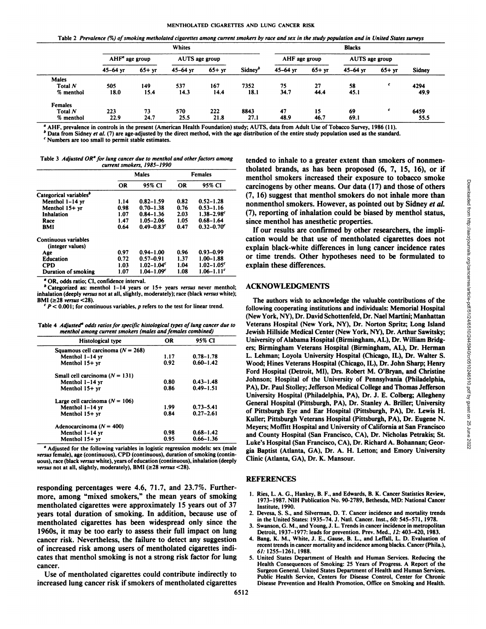Table 2 Prevalence (%) of smoking metholated cigarettes among current smokers by race and sex in the study population and in United States surveys

|                |                                    |         | <b>Whites</b> |               |                     |                |           | <b>Blacks</b> |         |               |
|----------------|------------------------------------|---------|---------------|---------------|---------------------|----------------|-----------|---------------|---------|---------------|
|                | $AHFa$ age group<br>AUTS age group |         |               | AHF age group |                     | AUTS age group |           |               |         |               |
|                | $45 - 64$ yr                       | $65+yr$ | $45 - 64$ yr  | $65 + yr$     | Sidney <sup>b</sup> | $45 - 64$ yr   | $65 + yr$ | $45 - 64$ vr  | $65+yr$ | <b>Sidney</b> |
| <b>Males</b>   |                                    |         |               |               |                     |                |           |               |         |               |
| Total N        | 505                                | 149     | 537           | 167           | 7352                | 75             | 27        | 58            |         | 4294          |
| % menthol      | 18.0                               | 15.4    | 14.3          | 14.4          | 18.1                | 34.7           | 44.4      | 45.1          |         | 49.9          |
| <b>Females</b> |                                    |         |               |               |                     |                |           |               |         |               |
| Total N        | 223                                | 73      | 570           | 222           | 8843                | 47             | 15        | 69            |         | 6459          |
| % menthol      | 22.9                               | 24.7    | 25.5          | 21.8          | 27.1                | 48.9           | 46.7      | 69.1          |         | 55.5          |

°AHF, prevalence in controls in the present (American Health Foundation) study; AUTS, data from Adult Use of Tobacco Survey, 1986 (11).

Data from Sidney et al. (7) are age-adjusted by the direct method, with the age distribution of the entire study population used as the standard.

*Numbers are too small to permit stable estimates.*

Table 3 Adjusted OR<sup> $a$ </sup> for lung cancer due to menthol and other factors among *current smokers, 1985-1990*

|                                          | <b>Males</b> |                            | <b>Females</b> |                            |  |
|------------------------------------------|--------------|----------------------------|----------------|----------------------------|--|
|                                          | <b>OR</b>    | 95% CI                     | <b>OR</b>      | 95% CI                     |  |
| Categorical variables <sup>®</sup>       |              |                            |                |                            |  |
| Menthol 1-14 vr                          | 1.14         | $0.82 - 1.59$              | 0.82           | $0.52 - 1.28$              |  |
| Menthol 15+ yr                           | 0.98         | $0.70 - 1.38$              | 0.76           | $0.53 - 1.16$              |  |
| Inhalation                               | 1.07         | $0.84 - 1.36$              | 2.03           | $1.38 - 2.98$ <sup>c</sup> |  |
| Race                                     | 1.47         | $1.05 - 2.06$              | 1.05           | $0.68 - 1.64$              |  |
| BMI                                      | 0.64         | $0.49 - 0.83$              | 0.47           | $0.32 - 0.70$              |  |
| Continuous variables<br>(integer values) |              |                            |                |                            |  |
| Age                                      | 0.97         | $0.94 - 1.00$              | 0.96           | $0.93 - 0.99$              |  |
| <b>Education</b>                         | 0.72         | $0.57 - 0.91$              | 1.37           | $1.00 - 1.88$              |  |
| <b>CPD</b>                               | 1.03         | $1.02 - 1.04$ <sup>c</sup> | 1.04           | $1.02 - 1.05$              |  |
| Duration of smoking                      | 1.07         | $1.04 - 1.09c$             | 1.08           | $1.06 - 1.11$ <sup>c</sup> |  |

°OR, odds ratio; CI, confidence interval.

"Categorized as: menthol  $1-14$  years or  $15+$  years versus never menthol; inhalation (deeply versus not at all, slightly, moderately); race (black versus white);  $BMI$  ( $\geq$ 28 versus <28).

 $P < 0.001$ ; for continuous variables, p refers to the test for linear trend.

Table 4 Adjusted<sup>a</sup> odds ratios for specific histological types of lung cancer due to *menthol among current smokers (males and females combined)*

| Histological type                   | <b>OR</b> | 95% CI        |
|-------------------------------------|-----------|---------------|
| Squamous cell carcinoma $(N = 268)$ |           |               |
| Menthol 1-14 yr                     | 1.17      | $0.78 - 1.78$ |
| Menthol 15+ yr                      | 0.92      | $0.60 - 1.42$ |
| Small cell carcinoma $(N = 131)$    |           |               |
| Menthol 1-14 yr                     | 0.80      | $0.43 - 1.48$ |
| Menthol $15+yr$                     | 0.86      | $0.49 - 1.51$ |
| Large cell carcinoma ( $N = 106$ )  |           |               |
| Menthol 1-14 yr                     | 1.99      | $0.73 - 5.41$ |
| Menthol 15+ yr                      | 0.84      | $0.27 - 2.61$ |
| Adenocarcinoma ( $N = 400$ )        |           |               |
| Menthol 1-14 yr                     | 0.98      | $0.68 - 1.42$ |
| Menthol $15+yr$                     | 0.95      | $0.66 - 1.36$ |

<sup>a</sup> Adjusted for the following variables in logistic regression models: sex (male *versus female), age (continuous), CPD (continuous), duration of smoking (contin* uous), race (black versus white), years of education (continuous), inhalation (deeply *versus not at all. slightly, moderately), BMI (>28 versus <28).*

responding percentages were 4.6, 71.7, and 23.7%. Further more, among "mixed smokers," the mean years of smoking mentholated cigarettes were approximately 15 years out of 37 years total duration of smoking. In addition, because use of "< mentholated cigarettes has been widespread only since the 1960s, it may be too early to assess their full impact on lung cancer risk. Nevertheless, the failure to detect any suggestion \* of increased risk among users of mentholated cigarettes indi cates that menthol smoking is not a strong risk factor for lung ; cancer.

Use of mentholated cigarettes could contribute indirectly to increased lung cancer risk if smokers of mentholated cigarettes

tended to inhale to a greater extent than smokers of nonmentholated brands, as has been proposed (6, 7, 15, 16), or if carcinogens by other means. Our data (17) and those of others (7, 16) suggest that menthol smokers do notinhale more than nonmenthol smokers. However, as pointed out by Sidney et al. (7), reporting of inhalation could be biased by menthol status, since menthol has anesthetic properties.

If our results are confirmed by other researchers, the impli cation would be that use of mentholated cigarettes does not explain black-white differences in lung cancer incidence rates or time trends. Other hypotheses need to be formulated to explain these differences.

#### **ACKNOWLEDGMENTS**

<sup>0.60–1.42</sup> Wood; Hines Veterans Hospital (Chicago, IL), Dr. John Sharp; Henry <sup>5</sup><br>Ford Hospital (Detroit, MI), Drs. Robert M. O'Bryan, and Christine 0.49–1.51 PA), Dr. Paul Stolley; Jefferson Medical College and Thomas Jefferson  $\frac{0.27}{0.27-2.61}$  of Pittsburgh Eye and Ear Hospital (Pittsburgh, PA), Dr. Lewis H. menthol smokers increased their exposure to tobacco smoke<br>
carrinogens by other means. Our data (17) and those of others<br>
(7, 16) suggest that menthol smokers do not inhale more than<br>
nonmenthol smokers. However, as pointe The authors wish to acknowledge the valuable contributions of the following cooperating institutions and individuals: Memorial Hospital (New York, NY), Dr. David Schottenfeld, Dr. Nael Martini; Manhattan Veterans Hospital (New York, NY), Dr. Norton Spritz; Long Island Jewish Hillside Medical Center (New York, NY), Dr. Arthur Sawitsky; University of Alabama Hospital (Birmingham, AL), Dr. William Bridgers; Birmingham Veterans Hospital (Birmingham, AL), Dr. Herman L. Lehman; Loyola University Hospital (Chicago, IL), Dr. Walter S. Johnson; Hospital of the University of Pennsylvania (Philadelphia, University Hospital (Philadelphia, PA), Dr. J. E. Colberg; Allegheny General Hospital (Pittsburgh, PA), Dr. Stanley A. Briller; University Kuller; Pittsburgh Veterans Hospital (Pittsburgh, PA), Dr. Eugene N. Meyers; Moffitt Hospital and University of California at San Francisco and County Hospital (San Francisco, CA), Dr. Nicholas Petrakis; St. Luke's Hospital (San Francisco, CA), Dr. Richard A. Bohannan; Geor gia Baptist (Atlanta, GA), Dr. A. H. Letton; and Emory University Clinic (Atlanta, GA), Dr. K. Mansour.

#### REFERENCES

- 1. Ries, L. A. G., Hankey, B. F., and Edwards, B. K. Cancer Statistics Review, 1973-1987. NIH Publication No. 90-2789, Bethesda. MD: National Cancer Institute, 1990.
- Devesa, S. S., and Silverman, D. T. Cancer incidence and mortality trends in the United States: 1935-74. J. Natl. Cancer. Inst., 60: 545-571, 1978.
- 3. Swanson, G. M., and Young, J. L. Trends in cancer incidence in metropolitan Detroit, 1937-1977: leads for prevention. Prev. Med., 12: 403-420, 1983.
- 4. Bang, K. M., White, J. E., Gause, B. L., and Leffall, L. D. Evaluation of recent trends in cancer mortality and incidence among blacks. Cancer (Phila.), *61: 1255-1261, 1988.*
- 5. United States Department of Health and Human Services. Reducing the Health Consequences of Smoking: 25 Years of Progress. A Report of the Surgeon General. United States Department of Health and Human Services. Public Health Service, Centers for Disease Control. Center for Chronic Disease Prevention and Health Promotion, Office on Smoking and Health.